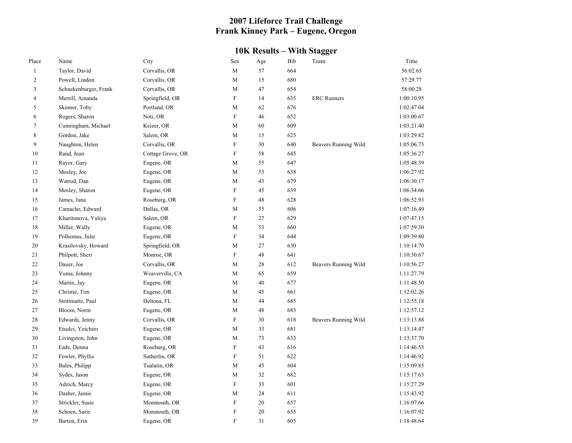## **2007 Lifeforce Trail Challenge Frank Kinney Park – Eugene, Oregon**

## **10K Results – With Stagger**

| Place          | Name                  | City              | <b>Sex</b>                | Age    | Bib | Team                 | Time       |
|----------------|-----------------------|-------------------|---------------------------|--------|-----|----------------------|------------|
| $\mathbf{1}$   | Taylor, David         | Corvallis, OR     | M                         | 57     | 664 |                      | 56:02.65   |
| $\overline{2}$ | Powell, Lindon        | Corvallis, OR     | M                         | 15     | 680 |                      | 57:29.77   |
| 3              | Schnekenburger, Frank | Corvallis, OR     | M                         | 47     | 654 |                      | 58:00.28   |
| $\overline{4}$ | Merrill, Amanda       | Springfield, OR   | $\boldsymbol{\mathrm{F}}$ | 14     | 635 | <b>ERC</b> Runners   | 1:00:10.95 |
| 5              | Skinner, Toby         | Portland, OR      | M                         | 62     | 676 |                      | 1:02:47.04 |
| 6              | Rogers, Sharon        | Noti, OR          | $\boldsymbol{\mathrm{F}}$ | 46     | 652 |                      | 1:03:00.67 |
| $\overline{7}$ | Cunningham, Michael   | Keizer, OR        | M                         | 60     | 609 |                      | 1:03:21.40 |
| 8              | Gordon, Jake          | Salem, OR         | M                         | 15     | 625 |                      | 1:03:29.82 |
| 9              | Naughton, Helen       | Corvallis, OR     | $\boldsymbol{\mathrm{F}}$ | 30     | 640 | Beavers Running Wild | 1:05:06.73 |
| 10             | Rand, Jean            | Cottage Grove, OR | $\mathbf F$               | 58     | 645 |                      | 1:05:36.27 |
| 11             | Rayor, Gary           | Eugene, OR        | M                         | 55     | 647 |                      | 1:05:48.39 |
| 12             | Mosley, Joe           | Eugene, OR        | M                         | 53     | 638 |                      | 1:06:27.92 |
| 13             | Watrud, Dan           | Eugene, OR        | M                         | 43     | 679 |                      | 1:06:30.17 |
| 14             | Mosley, Sharon        | Eugene, OR        | $\mathbf F$               | 45     | 639 |                      | 1:06:34.66 |
| 15             | James, Jana           | Roseburg, OR      | $\boldsymbol{\mathrm{F}}$ | 48     | 628 |                      | 1:06:52.93 |
| 16             | Camacho, Edward       | Dallas, OR        | M                         | 55     | 606 |                      | 1:07:16.49 |
| 17             | Kharitonova, Yuliya   | Salem, OR         | $\boldsymbol{\mathrm{F}}$ | 27     | 629 |                      | 1:07:47.15 |
| 18             | Miller, Wally         | Eugene, OR        | M                         | 53     | 660 |                      | 1:07:59.30 |
| 19             | Polhemus, Julie       | Eugene, OR        | $\boldsymbol{\mathrm{F}}$ | 34     | 644 |                      | 1:09:39.80 |
| 20             | Krasilovsky, Howard   | Springfield, OR   | M                         | 27     | 630 |                      | 1:10:14.70 |
| 21             | Philpott, Sheri       | Monroe, OR        | $\boldsymbol{\mathrm{F}}$ | 48     | 641 |                      | 1:10:30.67 |
| 22             | Dauer, Joe            | Corvallis, OR     | M                         | 28     | 612 | Beavers Running Wild | 1:10:56.27 |
| 23             | Yuma, Johnny          | Weaverville, CA   | M                         | 65     | 659 |                      | 1:11:27.79 |
| 24             | Martin, Jay           | Eugene, OR        | M                         | 40     | 677 |                      | 1:11:48.50 |
| 25             | Christie, Tim         | Eugene, OR        | M                         | 45     | 661 |                      | 1:12:02.26 |
| 26             | Strittmatte, Paul     | Deltona, FL       | M                         | 44     | 685 |                      | 1:12:55.18 |
| 27             | Bloom, Norm           | Eugene, OR        | M                         | 48     | 683 |                      | 1:12:57.12 |
| 28             | Edwards, Jenny        | Corvallis, OR     | $\boldsymbol{\mathrm{F}}$ | 30     | 618 | Beavers Running Wild | 1:13:13.88 |
| 29             | Etsulci, Yoichiro     | Eugene, OR        | M                         | 33     | 681 |                      | 1:13:14.47 |
| 30             | Livingston, John      | Eugene, OR        | M                         | 73     | 633 |                      | 1:13:37.70 |
| 31             | Eads, Donna           | Roseburg, OR      | $\boldsymbol{\mathrm{F}}$ | 43     | 616 |                      | 1:14:46.53 |
| 32             | Fowler, Phyllis       | Sutherlin, OR     | $\boldsymbol{\mathrm{F}}$ | 51     | 622 |                      | 1:14:46.92 |
| 33             | Bales, Philipp        | Tualatin, OR      | M                         | 45     | 604 |                      | 1:15:09.85 |
| 34             | Sydes, Jason          | Eugene, OR        | M                         | 32     | 682 |                      | 1:15:17.63 |
| 35             | Adzich, Marcy         | Eugene, OR        | $\mathbf F$               | 33     | 601 |                      | 1:15:27.29 |
| 36             | Dasher, Jamie         | Eugene, OR        | M                         | 24     | 611 |                      | 1:15:43.92 |
| 37             | Strickler, Susie      | Monmouth, OR      | $\mathbf F$               | 20     | 657 |                      | 1:16:07.66 |
| 38             | Schoen, Sarie         | Monmouth, OR      | $\boldsymbol{\mathrm{F}}$ | $20\,$ | 655 |                      | 1:16:07.92 |
| 39             | Barton, Erin          | Eugene, OR        | $\mathbf F$               | 31     | 605 |                      | 1:18:48.64 |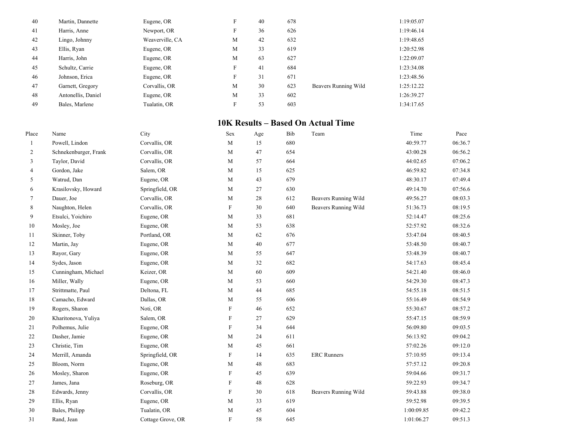| 40 | Martin, Dannette   | Eugene, OR      | F | 40 | 678 |                      | 1:19:05.07 |
|----|--------------------|-----------------|---|----|-----|----------------------|------------|
| 41 | Harris, Anne       | Newport, OR     | F | 36 | 626 |                      | 1:19:46.14 |
| 42 | Lingo, Johnny      | Weaverville, CA | M | 42 | 632 |                      | 1:19:48.65 |
| 43 | Ellis, Ryan        | Eugene, OR      | M | 33 | 619 |                      | 1:20:52.98 |
| 44 | Harris, John       | Eugene, OR      | M | 63 | 627 |                      | 1:22:09.07 |
| 45 | Schultz, Carrie    | Eugene, OR      | F | 41 | 684 |                      | 1:23:34.08 |
| 46 | Johnson, Erica     | Eugene, OR      | F | 31 | 671 |                      | 1:23:48.56 |
| 47 | Garnett, Gregory   | Corvallis, OR   | M | 30 | 623 | Beavers Running Wild | 1:25:12.22 |
| 48 | Antonellis, Daniel | Eugene, OR      | M | 33 | 602 |                      | 1:26:39.27 |
| 49 | Bales, Marlene     | Tualatin, OR    | F | 53 | 603 |                      | 1:34:17.65 |

## **10K Results – Based On Actual Time**

| Place          | Name                  | City              | Sex                       | Age | Bib | Team                        | Time       | Pace    |
|----------------|-----------------------|-------------------|---------------------------|-----|-----|-----------------------------|------------|---------|
| 1              | Powell, Lindon        | Corvallis, OR     | M                         | 15  | 680 |                             | 40:59.77   | 06:36.7 |
| 2              | Schnekenburger, Frank | Corvallis, OR     | M                         | 47  | 654 |                             | 43:00.28   | 06:56.2 |
| 3              | Taylor, David         | Corvallis, OR     | M                         | 57  | 664 |                             | 44:02.65   | 07:06.2 |
| $\overline{4}$ | Gordon, Jake          | Salem, OR         | M                         | 15  | 625 |                             | 46:59.82   | 07:34.8 |
| 5              | Watrud, Dan           | Eugene, OR        | M                         | 43  | 679 |                             | 48:30.17   | 07:49.4 |
| 6              | Krasilovsky, Howard   | Springfield, OR   | M                         | 27  | 630 |                             | 49:14.70   | 07:56.6 |
| 7              | Dauer, Joe            | Corvallis, OR     | M                         | 28  | 612 | Beavers Running Wild        | 49:56.27   | 08:03.3 |
| 8              | Naughton, Helen       | Corvallis, OR     | $\boldsymbol{\mathrm{F}}$ | 30  | 640 | <b>Beavers Running Wild</b> | 51:36.73   | 08:19.5 |
| 9              | Etsulci, Yoichiro     | Eugene, OR        | M                         | 33  | 681 |                             | 52:14.47   | 08:25.6 |
| 10             | Mosley, Joe           | Eugene, OR        | M                         | 53  | 638 |                             | 52:57.92   | 08:32.6 |
| 11             | Skinner, Toby         | Portland, OR      | M                         | 62  | 676 |                             | 53:47.04   | 08:40.5 |
| 12             | Martin, Jay           | Eugene, OR        | M                         | 40  | 677 |                             | 53:48.50   | 08:40.7 |
| 13             | Rayor, Gary           | Eugene, OR        | M                         | 55  | 647 |                             | 53:48.39   | 08:40.7 |
| 14             | Sydes, Jason          | Eugene, OR        | M                         | 32  | 682 |                             | 54:17.63   | 08:45.4 |
| 15             | Cunningham, Michael   | Keizer, OR        | M                         | 60  | 609 |                             | 54:21.40   | 08:46.0 |
| 16             | Miller, Wally         | Eugene, OR        | M                         | 53  | 660 |                             | 54:29.30   | 08:47.3 |
| 17             | Strittmatte, Paul     | Deltona, FL       | M                         | 44  | 685 |                             | 54:55.18   | 08:51.5 |
| 18             | Camacho, Edward       | Dallas, OR        | M                         | 55  | 606 |                             | 55:16.49   | 08:54.9 |
| 19             | Rogers, Sharon        | Noti, OR          | F                         | 46  | 652 |                             | 55:30.67   | 08:57.2 |
| 20             | Kharitonova, Yuliya   | Salem, OR         | $\boldsymbol{\mathrm{F}}$ | 27  | 629 |                             | 55:47.15   | 08:59.9 |
| 21             | Polhemus, Julie       | Eugene, OR        | $\boldsymbol{\mathrm{F}}$ | 34  | 644 |                             | 56:09.80   | 09:03.5 |
| 22             | Dasher, Jamie         | Eugene, OR        | M                         | 24  | 611 |                             | 56:13.92   | 09:04.2 |
| 23             | Christie, Tim         | Eugene, OR        | M                         | 45  | 661 |                             | 57:02.26   | 09:12.0 |
| 24             | Merrill, Amanda       | Springfield, OR   | F                         | 14  | 635 | <b>ERC</b> Runners          | 57:10.95   | 09:13.4 |
| 25             | Bloom, Norm           | Eugene, OR        | M                         | 48  | 683 |                             | 57:57.12   | 09:20.8 |
| 26             | Mosley, Sharon        | Eugene, OR        | $\mathbf F$               | 45  | 639 |                             | 59:04.66   | 09:31.7 |
| 27             | James, Jana           | Roseburg, OR      | $\boldsymbol{\mathrm{F}}$ | 48  | 628 |                             | 59:22.93   | 09:34.7 |
| 28             | Edwards, Jenny        | Corvallis, OR     | $\boldsymbol{\mathrm{F}}$ | 30  | 618 | Beavers Running Wild        | 59:43.88   | 09:38.0 |
| 29             | Ellis, Ryan           | Eugene, OR        | M                         | 33  | 619 |                             | 59:52.98   | 09:39.5 |
| 30             | Bales, Philipp        | Tualatin, OR      | M                         | 45  | 604 |                             | 1:00:09.85 | 09:42.2 |
| 31             | Rand, Jean            | Cottage Grove, OR | $\mathbf F$               | 58  | 645 |                             | 1:01:06.27 | 09:51.3 |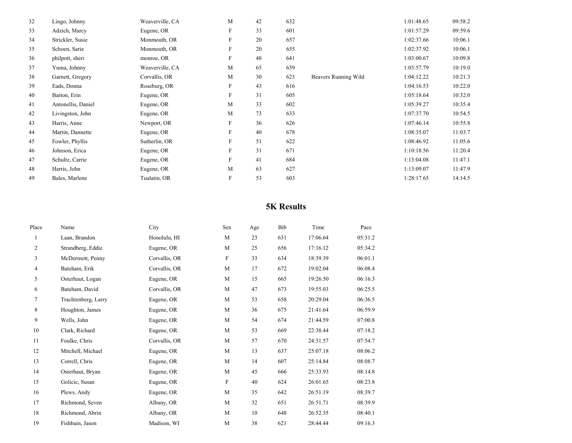| Lingo, Johnny      | Weaverville, CA | M            | 42 | 632 |                      | 1:01:48.65 | 09:58.2 |
|--------------------|-----------------|--------------|----|-----|----------------------|------------|---------|
| Adzich, Marcy      | Eugene, OR      | F            | 33 | 601 |                      | 1:01:57.29 | 09:59.6 |
| Strickler, Susie   | Monmouth, OR    | F            | 20 | 657 |                      | 1:02:37.66 | 10:06.1 |
| Schoen, Sarie      | Monmouth, OR    | F            | 20 | 655 |                      | 1:02:37.92 | 10:06.1 |
| philpott, sheri    | monroe, OR      | F            | 48 | 641 |                      | 1:03:00.67 | 10:09.8 |
| Yuma, Johnny       | Weaverville, CA | M            | 65 | 659 |                      | 1:03:57.79 | 10:19.0 |
| Garnett, Gregory   | Corvallis, OR   | M            | 30 | 623 | Beavers Running Wild | 1:04:12.22 | 10:21.3 |
| Eads, Donna        | Roseburg, OR    | F            | 43 | 616 |                      | 1:04:16.53 | 10:22.0 |
| Barton, Erin       | Eugene, OR      | $\mathbf{F}$ | 31 | 605 |                      | 1:05:18.64 | 10:32.0 |
| Antonellis, Daniel | Eugene, OR      | M            | 33 | 602 |                      | 1:05:39.27 | 10:35.4 |
| Livingston, John   | Eugene, OR      | M            | 73 | 633 |                      | 1:07:37.70 | 10:54.5 |
| Harris, Anne       | Newport, OR     | F            | 36 | 626 |                      | 1:07:46.14 | 10:55.8 |
| Martin, Dannette   | Eugene, OR      | F            | 40 | 678 |                      | 1:08:35.07 | 11:03.7 |
| Fowler, Phyllis    | Sutherlin, OR   | $\mathbf{F}$ | 51 | 622 |                      | 1:08:46.92 | 11:05.6 |
| Johnson, Erica     | Eugene, OR      | F            | 31 | 671 |                      | 1:10:18.56 | 11:20.4 |
| Schultz, Carrie    | Eugene, OR      | F            | 41 | 684 |                      | 1:13:04.08 | 11:47.1 |
| Harris, John       | Eugene, OR      | M            | 63 | 627 |                      | 1:13:09.07 | 11:47.9 |
| Bales, Marlene     | Tualatin, OR    | F            | 53 | 603 |                      | 1:28:17.65 | 14:14.5 |
|                    |                 |              |    |     |                      |            |         |

## **5K Results**

| Place | Name                | City          | Sex         | Age | Bib | Time     | Pace    |
|-------|---------------------|---------------|-------------|-----|-----|----------|---------|
|       | Laan, Brandon       | Honolulu, HI  | M           | 23  | 631 | 17:06.64 | 05:31.2 |
| 2     | Strandberg, Eddie   | Eugene, OR    | M           | 25  | 656 | 17:16.12 | 05:34.2 |
| 3     | McDermott, Penny    | Corvallis, OR | F           | 33  | 634 | 18:39.39 | 06:01.1 |
| 4     | Bateham, Erik       | Corvallis, OR | M           | 17  | 672 | 19:02.04 | 06:08.4 |
| 5     | Osterhaut, Logan    | Eugene, OR    | M           | 15  | 665 | 19:26.50 | 06:16.3 |
| 6     | Bateham, David      | Corvallis, OR | M           | 47  | 673 | 19:55.03 | 06:25.5 |
| 7     | Trachtenberg, Larry | Eugene, OR    | M           | 53  | 658 | 20:29.04 | 06:36.5 |
| 8     | Houghton, James     | Eugene, OR    | M           | 36  | 675 | 21:41.64 | 06:59.9 |
| 9     | Wells, John         | Eugene, OR    | M           | 54  | 674 | 21:44.59 | 07:00.8 |
| 10    | Clark, Richard      | Eugene, OR    | M           | 53  | 669 | 22:38.44 | 07:18.2 |
| 11    | Foulke, Chris       | Corvallis, OR | M           | 57  | 670 | 24:31.57 | 07:54.7 |
| 12    | Mitchell, Michael   | Eugene, OR    | M           | 13  | 637 | 25:07.18 | 08:06.2 |
| 13    | Correll, Chris      | Eugene, OR    | M           | 14  | 607 | 25:14.84 | 08:08.7 |
| 14    | Osterhaut, Bryan    | Eugene, OR    | M           | 45  | 666 | 25:33.93 | 08:14.8 |
| 15    | Golicic, Susan      | Eugene, OR    | $\mathbf F$ | 40  | 624 | 26:01.65 | 08:23.8 |
| 16    | Plews, Andy         | Eugene, OR    | M           | 35  | 642 | 26:51.19 | 08:39.7 |
| 17    | Richmond, Seven     | Albany, OR    | M           | 32  | 651 | 26:51.71 | 08:39.9 |
| 18    | Richmond, Abrin     | Albany, OR    | M           | 10  | 648 | 26:52.35 | 08:40.1 |
| 19    | Fishbain, Jason     | Madison, WI   | M           | 38  | 621 | 28:44.44 | 09:16.3 |